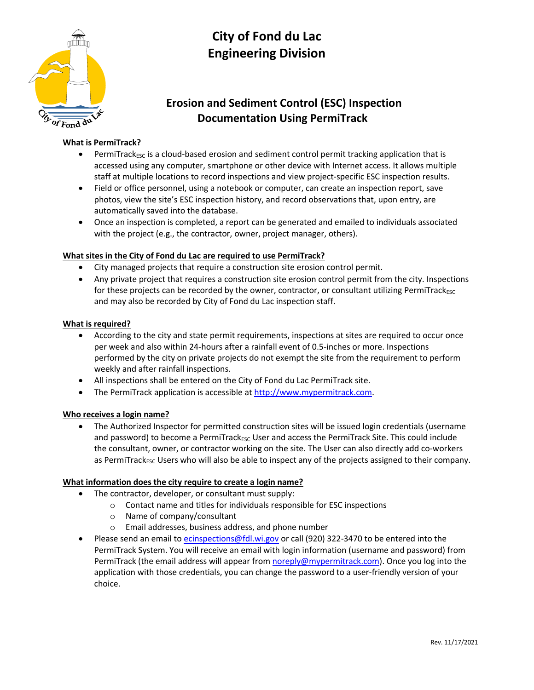

# **City of Fond du Lac Engineering Division**

# **Erosion and Sediment Control (ESC) Inspection Documentation Using PermiTrack**

## **What is PermiTrack?**

- $PermiTrack<sub>ESC</sub>$  is a cloud-based erosion and sediment control permit tracking application that is accessed using any computer, smartphone or other device with Internet access. It allows multiple staff at multiple locations to record inspections and view project-specific ESC inspection results.
- Field or office personnel, using a notebook or computer, can create an inspection report, save photos, view the site's ESC inspection history, and record observations that, upon entry, are automatically saved into the database.
- Once an inspection is completed, a report can be generated and emailed to individuals associated with the project (e.g., the contractor, owner, project manager, others).

### **What sites in the City of Fond du Lac are required to use PermiTrack?**

- City managed projects that require a construction site erosion control permit.
- Any private project that requires a construction site erosion control permit from the city. Inspections for these projects can be recorded by the owner, contractor, or consultant utilizing PermiTrack $_{\text{esc}}$ and may also be recorded by City of Fond du Lac inspection staff.

### **What is required?**

- According to the city and state permit requirements, inspections at sites are required to occur once per week and also within 24-hours after a rainfall event of 0.5-inches or more. Inspections performed by the city on private projects do not exempt the site from the requirement to perform weekly and after rainfall inspections.
- All inspections shall be entered on the City of Fond du Lac PermiTrack site.
- The PermiTrack application is accessible a[t http://www.mypermitrack.com.](http://www.mypermitrack.com/)

### **Who receives a login name?**

 The Authorized Inspector for permitted construction sites will be issued login credentials (username and password) to become a PermiTrack<sub>ESC</sub> User and access the PermiTrack Site. This could include the consultant, owner, or contractor working on the site. The User can also directly add co-workers as PermiTrack<sub>ESC</sub> Users who will also be able to inspect any of the projects assigned to their company.

#### **What information does the city require to create a login name?**

- The contractor, developer, or consultant must supply:
	- o Contact name and titles for individuals responsible for ESC inspections
	- o Name of company/consultant
	- o Email addresses, business address, and phone number
- Please send an email t[o ecinspections@fdl.wi.gov](mailto:ecinspections@fdl.wi.gov) or call (920) 322-3470 to be entered into the PermiTrack System. You will receive an email with login information (username and password) from PermiTrack (the email address will appear fro[m noreply@mypermitrack.com\)](mailto:noreply@mypermitrack.com). Once you log into the application with those credentials, you can change the password to a user-friendly version of your choice.